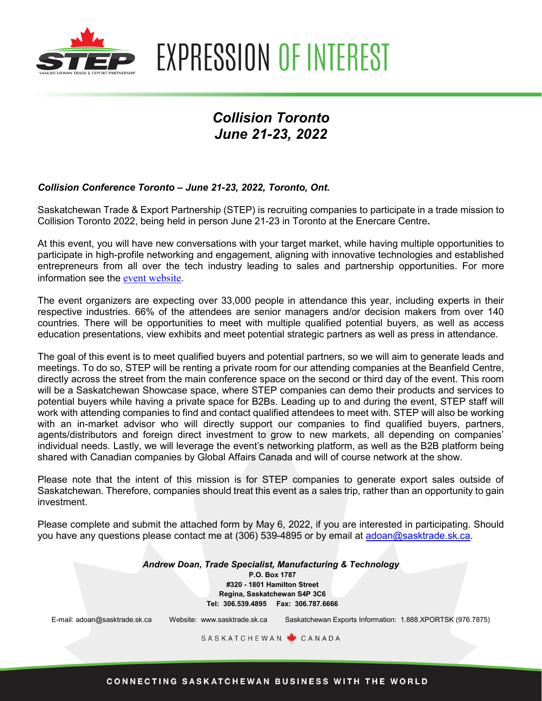

**EXPRESSION OF INTEREST** 

# *Collision Toronto June 21-23, 2022*

### *Collision Conference Toronto – June 21-23, 2022, Toronto, Ont.*

Saskatchewan Trade & Export Partnership (STEP) is recruiting companies to participate in a trade mission to Collision Toronto 2022, being held in person June 21-23 in Toronto at the Enercare Centre**.** 

At this event, you will have new conversations with your target market, while having multiple opportunities to participate in high-profile networking and engagement, aligning with innovative technologies and established entrepreneurs from all over the tech industry leading to sales and partnership opportunities. For more information see the [event website](https://collisionconf.com/).

The event organizers are expecting over 33,000 people in attendance this year, including experts in their respective industries. 66% of the attendees are senior managers and/or decision makers from over 140 countries. There will be opportunities to meet with multiple qualified potential buyers, as well as access education presentations, view exhibits and meet potential strategic partners as well as press in attendance.

The goal of this event is to meet qualified buyers and potential partners, so we will aim to generate leads and meetings. To do so, STEP will be renting a private room for our attending companies at the Beanfield Centre, directly across the street from the main conference space on the second or third day of the event. This room will be a Saskatchewan Showcase space, where STEP companies can demo their products and services to potential buyers while having a private space for B2Bs. Leading up to and during the event, STEP staff will work with attending companies to find and contact qualified attendees to meet with. STEP will also be working with an in-market advisor who will directly support our companies to find qualified buyers, partners, agents/distributors and foreign direct investment to grow to new markets, all depending on companies' individual needs. Lastly, we will leverage the event's networking platform, as well as the B2B platform being shared with Canadian companies by Global Affairs Canada and will of course network at the show.

Please note that the intent of this mission is for STEP companies to generate export sales outside of Saskatchewan. Therefore, companies should treat this event as a sales trip, rather than an opportunity to gain investment.

Please complete and submit the attached form by May 6, 2022, if you are interested in participating. Should you have any questions please contact me at (306) 539-4895 or by email at [adoan@sasktrade.sk.ca.](mailto:adoan@sasktrade.sk.ca)

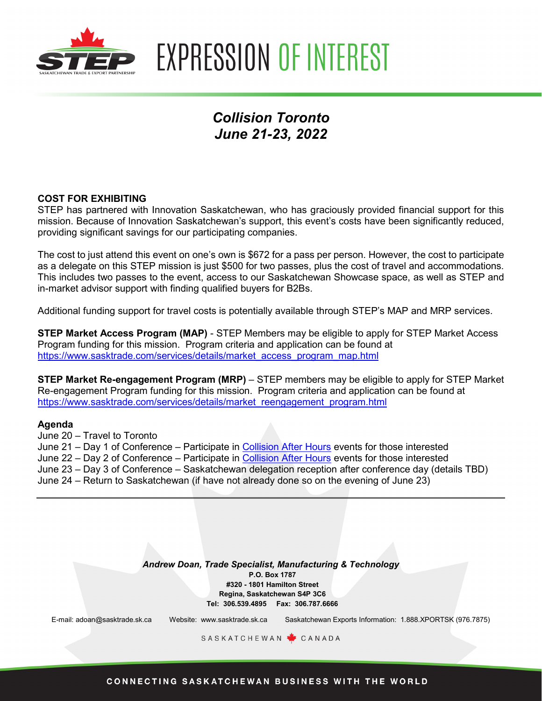

**EXPRESSION OF INTEREST** 

# *Collision Toronto June 21-23, 2022*

### **COST FOR EXHIBITING**

STEP has partnered with Innovation Saskatchewan, who has graciously provided financial support for this mission. Because of Innovation Saskatchewan's support, this event's costs have been significantly reduced, providing significant savings for our participating companies.

The cost to just attend this event on one's own is \$672 for a pass per person. However, the cost to participate as a delegate on this STEP mission is just \$500 for two passes, plus the cost of travel and accommodations. This includes two passes to the event, access to our Saskatchewan Showcase space, as well as STEP and in-market advisor support with finding qualified buyers for B2Bs.

Additional funding support for travel costs is potentially available through STEP's MAP and MRP services.

**STEP Market Access Program (MAP)** - STEP Members may be eligible to apply for STEP Market Access Program funding for this mission. Program criteria and application can be found at [https://www.sasktrade.com/services/details/market\\_access\\_program\\_map.html](https://www.sasktrade.com/services/details/market_access_program_map.html)

**STEP Market Re-engagement Program (MRP)** – STEP members may be eligible to apply for STEP Market Re-engagement Program funding for this mission. Program criteria and application can be found at [https://www.sasktrade.com/services/details/market\\_reengagement\\_program.html](https://www.sasktrade.com/services/details/market_reengagement_program.html) 

#### **Agenda**

June 20 – Travel to Toronto June 21 – Day 1 of Conference – Participate in [Collision After Hours](https://collisionconf.com/collision-after-hours) events for those interested June 22 – Day 2 of Conference – Participate in [Collision After Hours](https://collisionconf.com/collision-after-hours) events for those interested June 23 – Day 3 of Conference – Saskatchewan delegation reception after conference day (details TBD) June 24 – Return to Saskatchewan (if have not already done so on the evening of June 23)

> *Andrew Doan, Trade Specialist, Manufacturing & Technology* **P.O. Box 1787 #320 - 1801 Hamilton Street Regina, Saskatchewan S4P 3C6 Tel: 306.539.4895 Fax: 306.787.6666**

E-mail: adoan@sasktrade.sk.ca Website: www.sasktrade.sk.ca Saskatchewan Exports Information: 1.888.XPORTSK (976.7875)

SASKATCHEWAN CANADA